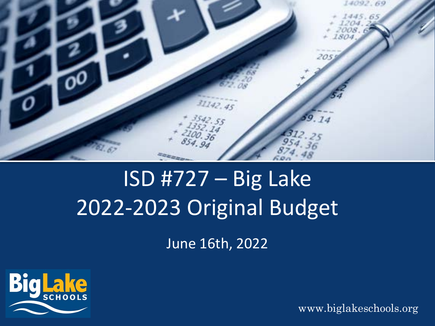

## ISD #727 – Big Lake 2022-2023 Original Budget

June 16th, 2022

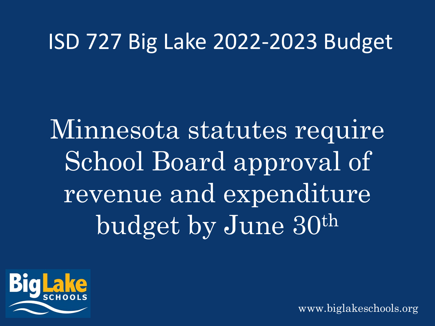#### ISD 727 Big Lake 2022-2023 Budget

Minnesota statutes require School Board approval of revenue and expenditure budget by June 30th

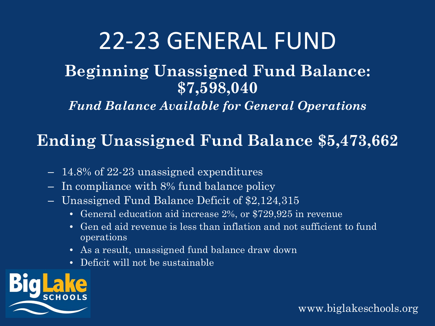#### 22-23 GENERAL FUND

#### **Beginning Unassigned Fund Balance: \$7,598,040**

*Fund Balance Available for General Operations*

#### **Ending Unassigned Fund Balance \$5,473,662**

- 14.8% of 22-23 unassigned expenditures
- In compliance with 8% fund balance policy
- Unassigned Fund Balance Deficit of \$2,124,315
	- General education aid increase 2%, or \$729,925 in revenue
	- Gen ed aid revenue is less than inflation and not sufficient to fund operations
	- As a result, unassigned fund balance draw down
	- Deficit will not be sustainable

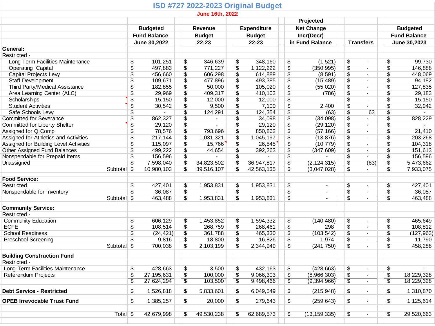|                                        |                          |                 |                          | <b>ISD #727 2022-2023 Original Budget</b> |                          |                            |                                      |                               |                          |                          |                 |                                     |  |
|----------------------------------------|--------------------------|-----------------|--------------------------|-------------------------------------------|--------------------------|----------------------------|--------------------------------------|-------------------------------|--------------------------|--------------------------|-----------------|-------------------------------------|--|
|                                        |                          |                 |                          | <b>June 16th, 2022</b>                    |                          |                            |                                      |                               |                          |                          |                 |                                     |  |
|                                        |                          |                 |                          |                                           |                          | Projected                  |                                      |                               |                          |                          |                 |                                     |  |
|                                        |                          | <b>Budgeted</b> |                          | <b>Revenue</b>                            |                          | <b>Expenditure</b>         |                                      | <b>Net Change</b>             |                          |                          |                 | <b>Budgeted</b>                     |  |
|                                        | <b>Fund Balance</b>      |                 |                          | <b>Budget</b><br>$22 - 23$                |                          | <b>Budget</b><br>$22 - 23$ |                                      | Incr(Decr)<br>in Fund Balance |                          | <b>Transfers</b>         |                 | <b>Fund Balance</b><br>June 30,2023 |  |
|                                        |                          | June 30,2022    |                          |                                           |                          |                            |                                      |                               |                          |                          |                 |                                     |  |
| General:                               |                          |                 |                          |                                           |                          |                            |                                      |                               |                          |                          |                 |                                     |  |
| Restricted -                           |                          |                 |                          |                                           |                          |                            |                                      |                               |                          |                          |                 |                                     |  |
| Long Term Facilities Maintenance       | \$                       | 101,251         | \$                       | 346,639                                   | \$                       | 348,160                    | \$                                   | (1,521)                       | \$                       | $\blacksquare$           | \$              | 99,730                              |  |
| <b>Operating Capital</b>               | \$                       | 497,883         | $\overline{\mathcal{L}}$ | 771,227                                   | \$                       | 1,122,222                  | \$                                   | (350, 995)                    | \$                       | $\blacksquare$           | \$              | 146,888                             |  |
| Capital Projects Levy                  | \$                       | 456,660         | $\sqrt[6]{3}$            | 606,298                                   | \$                       | 614,889                    | \$                                   | (8, 591)                      | \$                       | $\overline{a}$           | \$              | 448,069                             |  |
| <b>Staff Development</b>               | \$                       | 109,671         | $\sqrt[6]{\frac{1}{2}}$  | 477,896                                   | $\sqrt[6]{\frac{1}{2}}$  | 493,385                    | \$                                   | (15, 489)                     | \$                       | $\blacksquare$           | \$              | 94,182                              |  |
| Third Party/Medical Assistance         | \$                       | 182,855         | \$                       | 50,000                                    | $\pmb{\mathfrak{P}}$     | 105,020                    | \$                                   | (55,020)                      | \$                       | $\blacksquare$           | \$              | 127,835                             |  |
| Area Learning Center (ALC)             | \$                       | 29,969          | $\sqrt[6]{3}$            | 409,317                                   | $\sqrt[6]{\frac{1}{2}}$  | 410,103                    | $\overline{\mathcal{L}}$             | (786)                         | \$                       | $\blacksquare$           | \$              | 29,183                              |  |
| Scholarships                           | \$                       | 15,150          | $\overline{\mathcal{L}}$ | 12,000                                    | $\sqrt[6]{3}$            | 12,000                     | $\overline{\$}$                      |                               | $\overline{\$}$          | $\blacksquare$           | \$              | 15,150                              |  |
| <b>Student Activities</b>              | $\overline{\$}$          | 30,542          | $\overline{\mathcal{L}}$ | 9,500                                     | $\overline{\$}$          | 7,100                      | $\overline{\$}$                      | 2,400                         | $\overline{\$}$          |                          | \$              | 32,942                              |  |
| Safe Schools Levy                      | \$                       |                 | $\overline{\$}$          | 124,291                                   | $\pmb{\$}$               | 124,354                    | $\overline{\$}$                      | (63)                          | $\overline{\$}$          | 63                       | \$              | $\blacksquare$                      |  |
| <b>Committed for Severance</b>         | \$                       | 862,327         | $\overline{\mathcal{L}}$ |                                           | $\overline{\mathcal{L}}$ | 34,098                     | $\overline{\$}$                      | (34,098)                      | $\overline{\mathcal{L}}$ |                          | \$              | 828,229                             |  |
| <b>Committed for Liberty Shelter</b>   | \$                       | 29,120          | $\overline{\mathcal{L}}$ |                                           | $\overline{\$}$          | 29,120                     | $\overline{\$}$                      | (29, 120)                     | $\overline{\$}$          | $\blacksquare$           | \$              |                                     |  |
| Assigned for Q Comp                    | \$                       | 78,576          | $\overline{\mathcal{L}}$ | 793,696                                   | $\overline{\$}$          | 850,862                    | $\overline{\$}$                      | (57, 166)                     | $\overline{\$}$          | $\blacksquare$           | \$              | 21,410                              |  |
| Assigned for Athletics and Activities  | \$                       | 217,144         | $\pmb{\mathfrak{P}}$     | 1,031,321                                 | $\sqrt[6]{3}$            | 1,045,197                  | \$                                   | (13, 876)                     | \$                       | $\blacksquare$           | \$              | 203,268                             |  |
| Assigned for Building Level Activities | \$                       | 115,097         | $\overline{\$}$          | 15,766                                    | $\sqrt[6]{3}$            | 26,545                     | $\overline{\mathcal{L}}$             | (10, 779)                     | $\overline{\$}$          | $\blacksquare$           | \$              | 104,318                             |  |
| Other Assigned Fund Balances           | \$                       | 499,222         | $\overline{\mathcal{L}}$ | 44,654                                    | $\pmb{\$}$               | 392,263                    | $\overline{\$}$                      | (347, 609)                    | $\overline{\$}$          | $\blacksquare$           | \$              | 151,613                             |  |
| Nonspendable for Prepaid Items         | \$                       | 156,596         | $\overline{\$}$          |                                           | $\overline{\$}$          |                            | \$                                   |                               | \$                       |                          | \$              | 156,596                             |  |
| Unassigned                             | $\overline{\mathcal{L}}$ | 7,598,040       | $\overline{\mathcal{L}}$ | 34,823,502                                | $\sqrt[6]{3}$            | 36,947,817                 | $\sqrt{2}$                           | (2, 124, 315)                 | \$                       | (63)                     |                 | 5,473,662                           |  |
|                                        | Subtotal $\sqrt{3}$      | 10,980,103      | $\overline{\$}$          | 39,516,107                                | $\overline{\$}$          | 42,563,135                 | \$                                   | (3,047,028)                   | \$                       | $\blacksquare$           | \$<br>\$        | 7,933,075                           |  |
|                                        |                          |                 |                          |                                           |                          |                            |                                      |                               |                          |                          |                 |                                     |  |
| <b>Food Service:</b>                   |                          |                 |                          |                                           |                          |                            |                                      |                               |                          |                          |                 |                                     |  |
| Restricted                             | \$                       | 427,401         | \$                       | 1,953,831                                 | \$                       | 1,953,831                  | \$                                   | $\sim$                        | \$                       | $\blacksquare$           | \$              | 427,401                             |  |
| Nonspendable for Inventory             | $\overline{\mathcal{L}}$ | 36,087          | $\overline{\mathcal{L}}$ |                                           | $\overline{\mathcal{L}}$ |                            | $\overline{\$}$                      | $\blacksquare$                | $\overline{\$}$          | $\overline{\phantom{a}}$ | \$              | 36,087                              |  |
|                                        | Subtotal <sup>5</sup>    | 463,488         | \$                       | 1,953,831                                 | \$                       | 1,953,831                  | $\overline{\boldsymbol{\mathsf{S}}}$ | $\blacksquare$                | \$                       | $\blacksquare$           | $\overline{\$}$ | 463,488                             |  |
|                                        |                          |                 |                          |                                           |                          |                            |                                      |                               |                          |                          |                 |                                     |  |
| <b>Community Service:</b>              |                          |                 |                          |                                           |                          |                            |                                      |                               |                          |                          |                 |                                     |  |
| Restricted -                           |                          |                 |                          |                                           |                          |                            |                                      |                               |                          |                          |                 |                                     |  |
| <b>Community Education</b>             | $\sqrt[6]{\frac{1}{2}}$  | 606,129         | \$                       | 1,453,852                                 | \$                       | 1,594,332                  | \$                                   | (140, 480)                    | \$                       | $\overline{\phantom{a}}$ | \$              | 465,649                             |  |
| <b>ECFE</b>                            | \$                       | 108,514         | $\sqrt{2}$               | 268,759                                   | $\overline{\$}$          | 268,461                    | $\overline{\$}$                      | 298                           | $\overline{\$}$          | $\blacksquare$           | $\sqrt{2}$      | 108,812                             |  |
| <b>School Readiness</b>                | \$                       | (24, 421)       | $\sqrt[6]{\frac{1}{2}}$  | 361,788                                   | $\overline{\$}$          | 465,330                    | $\overline{\mathcal{L}}$             | (103, 542)                    | $\overline{\$}$          | $\blacksquare$           | \$              | (127, 963)                          |  |
| <b>Preschool Screening</b>             | $\overline{\$}$          | 9,816           | $\sqrt[6]{\frac{1}{2}}$  | 18,800                                    | $\sqrt[6]{\frac{1}{2}}$  | 16,826                     | $\sqrt{2}$                           | 1,974                         | $\overline{\$}$          | $\blacksquare$           | \$              | 11,790                              |  |
| Subtotal                               | \$                       | 700,038         | $\overline{\$}$          | 2,103,199                                 | \$                       | 2,344,949                  | \$                                   | (241, 750)                    | \$                       |                          | \$              | 458,288                             |  |
| <b>Building Construction Fund</b>      |                          |                 |                          |                                           |                          |                            |                                      |                               |                          |                          |                 |                                     |  |
| Restricted -                           |                          |                 |                          |                                           |                          |                            |                                      |                               |                          |                          |                 |                                     |  |
| Long-Term Facilities Maintenance       | $\sqrt[6]{\frac{1}{2}}$  | 428,663         | $\sqrt[6]{\frac{1}{2}}$  | 3,500                                     | \$                       | 432,163                    | \$                                   | (428, 663)                    | \$                       | $\blacksquare$           | \$              |                                     |  |
| Referendum Projects                    | \$                       | 27,195,631      | $\frac{1}{2}$            | 100,000                                   | $\frac{1}{2}$            | 9,066,303                  | \$                                   | (8,966,303)                   | $\frac{1}{2}$            | $\sim$                   | \$              | 18,229,328                          |  |
|                                        | $\overline{\$}$          | 27,624,294      | $\overline{\$}$          | 103,500                                   | \$                       | 9,498,466                  | $\overline{\mathcal{E}}$             | (9,394,966)                   | \$                       | $\blacksquare$           | $\overline{\$}$ | 18,229,328                          |  |
|                                        |                          |                 |                          |                                           |                          |                            |                                      |                               |                          |                          |                 |                                     |  |
| <b>Debt Service - Restricted</b>       | $\pmb{\mathfrak{P}}$     | 1,526,818       | \$                       | 5,833,601                                 | \$                       | 6,049,549                  | $\sqrt[6]{3}$                        | (215, 948)                    | \$                       | $\blacksquare$           | \$              | 1,310,870                           |  |
| <b>OPEB Irrevocable Trust Fund</b>     | $\sqrt[6]{\frac{1}{2}}$  | 1,385,257       | \$                       | 20,000                                    | $\sqrt[6]{\frac{1}{2}}$  | 279,643                    | \$                                   | (259, 643)                    | \$                       | $\blacksquare$           | \$              | 1,125,614                           |  |
|                                        |                          |                 |                          |                                           |                          |                            |                                      |                               |                          |                          |                 |                                     |  |
|                                        | Total <sub>\$</sub>      | 42,679,998      | \$                       | 49,530,238                                | \$                       | 62,689,573                 | \$                                   | (13, 159, 335)                | \$                       | $\overline{\phantom{a}}$ | \$              | 29,520,663                          |  |
|                                        |                          |                 |                          |                                           |                          |                            |                                      |                               |                          |                          |                 |                                     |  |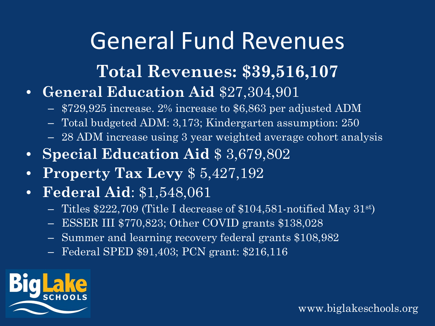#### General Fund Revenues

#### **Total Revenues: \$39,516,107**

- **General Education Aid** \$27,304,901
	- \$729,925 increase. 2% increase to \$6,863 per adjusted ADM
	- Total budgeted ADM: 3,173; Kindergarten assumption: 250
	- 28 ADM increase using 3 year weighted average cohort analysis
- **Special Education Aid** \$ 3,679,802
- **Property Tax Levy** \$ 5,427,192
- **Federal Aid**: \$1,548,061
	- Titles \$222,709 (Title I decrease of \$104,581-notified May 31st)
	- ESSER III \$770,823; Other COVID grants \$138,028
	- Summer and learning recovery federal grants \$108,982
	- Federal SPED \$91,403; PCN grant: \$216,116

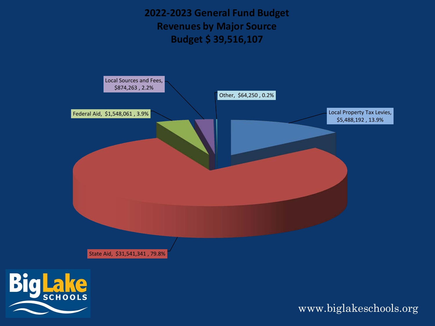**2022-2023 General Fund Budget Revenues by Major Source Budget \$ 39,516,107**



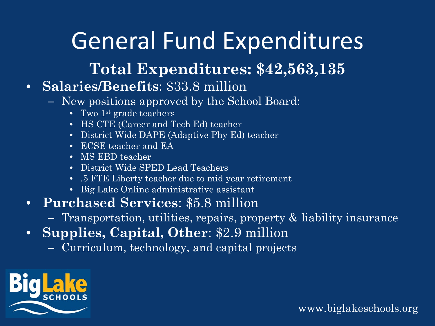## General Fund Expenditures

#### **Total Expenditures: \$42,563,135**

#### • **Salaries/Benefits**: \$33.8 million

- New positions approved by the School Board:
	- Two  $1<sup>st</sup>$  grade teachers
	- HS CTE (Career and Tech Ed) teacher
	- District Wide DAPE (Adaptive Phy Ed) teacher
	- ECSE teacher and EA
	- MS EBD teacher
	- District Wide SPED Lead Teachers
	- .5 FTE Liberty teacher due to mid year retirement
	- Big Lake Online administrative assistant
- **Purchased Services**: \$5.8 million
	- Transportation, utilities, repairs, property & liability insurance
- **Supplies, Capital, Other**: \$2.9 million
	- Curriculum, technology, and capital projects

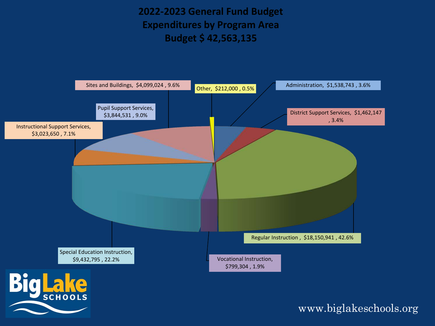**2022-2023 General Fund Budget Expenditures by Program Area Budget \$ 42,563,135**

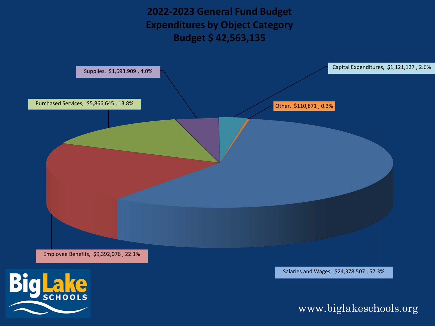**2022-2023 General Fund Budget Expenditures by Object Category Budget \$ 42,563,135**

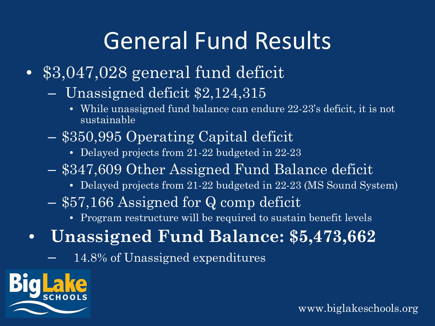## General Fund Results

- \$3,047,028 general fund deficit
	- Unassigned deficit \$2,124,315
		- While unassigned fund balance can endure 22-23's deficit, it is not sustainable
	- \$350,995 Operating Capital deficit
		- Delayed projects from 21-22 budgeted in 22-23
	- \$347,609 Other Assigned Fund Balance deficit
		- Delayed projects from 21-22 budgeted in 22-23 (MS Sound System)
	- \$57,166 Assigned for Q comp deficit
		- Program restructure will be required to sustain benefit levels
- **Unassigned Fund Balance: \$5,473,662**
	- 14.8% of Unassigned expenditures

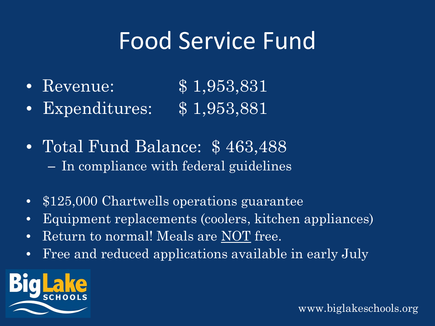#### Food Service Fund

- Revenue: \$1,953,831
- Expenditures: \$ 1,953,881
- Total Fund Balance: \$463,488 – In compliance with federal guidelines
- \$125,000 Chartwells operations guarantee
- Equipment replacements (coolers, kitchen appliances)
- Return to normal! Meals are NOT free.
- Free and reduced applications available in early July

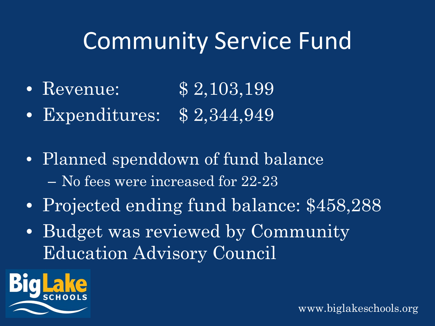## Community Service Fund

- Revenue: \$2,103,199
- Expenditures: \$ 2,344,949
- Planned spenddown of fund balance – No fees were increased for 22-23
- Projected ending fund balance: \$458,288
- Budget was reviewed by Community Education Advisory Council

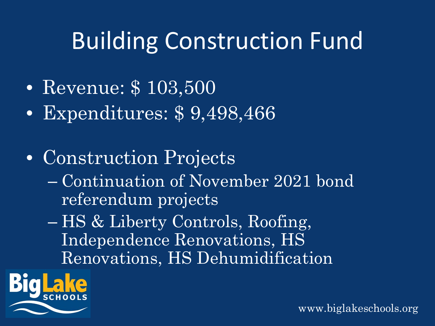# Building Construction Fund

- Revenue: \$103,500
- Expenditures: \$ 9,498,466
- Construction Projects
	- Continuation of November 2021 bond referendum projects
	- HS & Liberty Controls, Roofing, Independence Renovations, HS Renovations, HS Dehumidification

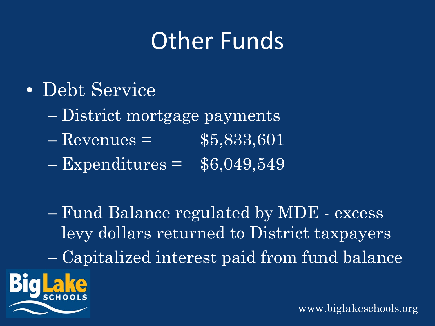## Other Funds

- Debt Service
	- District mortgage payments
	- $R$  Revenues =  $$5,833,601$
	- $-$  Expenditures =  $$6,049,549$

– Fund Balance regulated by MDE - excess levy dollars returned to District taxpayers – Capitalized interest paid from fund balance

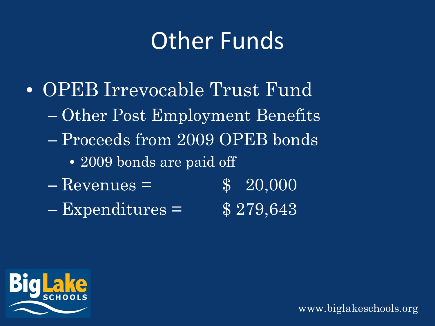#### Other Funds

- OPEB Irrevocable Trust Fund – Other Post Employment Benefits – Proceeds from 2009 OPEB bonds
	- 2009 bonds are paid off
	- $-$  Revenues =  $$ 20,000$
	- $–$  Expenditures =  $$279,643$

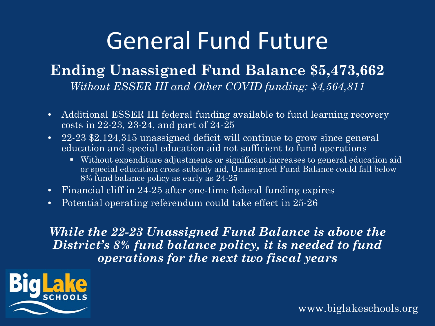## General Fund Future

#### **Ending Unassigned Fund Balance \$5,473,662** *Without ESSER III and Other COVID funding: \$4,564,811*

- Additional ESSER III federal funding available to fund learning recovery costs in 22-23, 23-24, and part of 24-25
- 22-23 \$2,124,315 unassigned deficit will continue to grow since general education and special education aid not sufficient to fund operations
	- Without expenditure adjustments or significant increases to general education aid or special education cross subsidy aid, Unassigned Fund Balance could fall below 8% fund balance policy as early as 24-25
- Financial cliff in 24-25 after one-time federal funding expires
- Potential operating referendum could take effect in 25-26

*While the 22-23 Unassigned Fund Balance is above the District's 8% fund balance policy, it is needed to fund operations for the next two fiscal years*